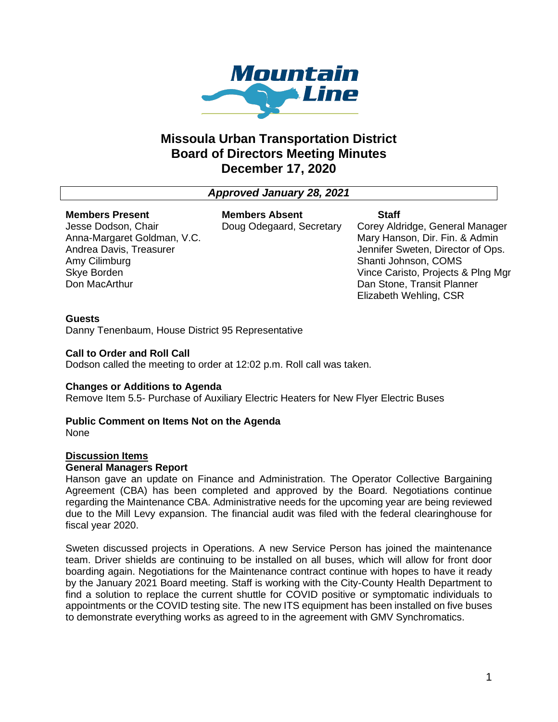

# **Missoula Urban Transportation District Board of Directors Meeting Minutes December 17, 2020**

# *Approved January 28, 2021*

#### **Members Present**

Jesse Dodson, Chair Anna-Margaret Goldman, V.C. Andrea Davis, Treasurer Amy Cilimburg Skye Borden Don MacArthur

**Members Absent** Doug Odegaard, Secretary

## **Staff**

Corey Aldridge, General Manager Mary Hanson, Dir. Fin. & Admin Jennifer Sweten, Director of Ops. Shanti Johnson, COMS Vince Caristo, Projects & Plng Mgr Dan Stone, Transit Planner Elizabeth Wehling, CSR

## **Guests**

Danny Tenenbaum, House District 95 Representative

## **Call to Order and Roll Call**

Dodson called the meeting to order at 12:02 p.m. Roll call was taken.

## **Changes or Additions to Agenda**

Remove Item 5.5- Purchase of Auxiliary Electric Heaters for New Flyer Electric Buses

## **Public Comment on Items Not on the Agenda**

None

## **Discussion Items**

#### **General Managers Report**

Hanson gave an update on Finance and Administration. The Operator Collective Bargaining Agreement (CBA) has been completed and approved by the Board. Negotiations continue regarding the Maintenance CBA. Administrative needs for the upcoming year are being reviewed due to the Mill Levy expansion. The financial audit was filed with the federal clearinghouse for fiscal year 2020.

Sweten discussed projects in Operations. A new Service Person has joined the maintenance team. Driver shields are continuing to be installed on all buses, which will allow for front door boarding again. Negotiations for the Maintenance contract continue with hopes to have it ready by the January 2021 Board meeting. Staff is working with the City-County Health Department to find a solution to replace the current shuttle for COVID positive or symptomatic individuals to appointments or the COVID testing site. The new ITS equipment has been installed on five buses to demonstrate everything works as agreed to in the agreement with GMV Synchromatics.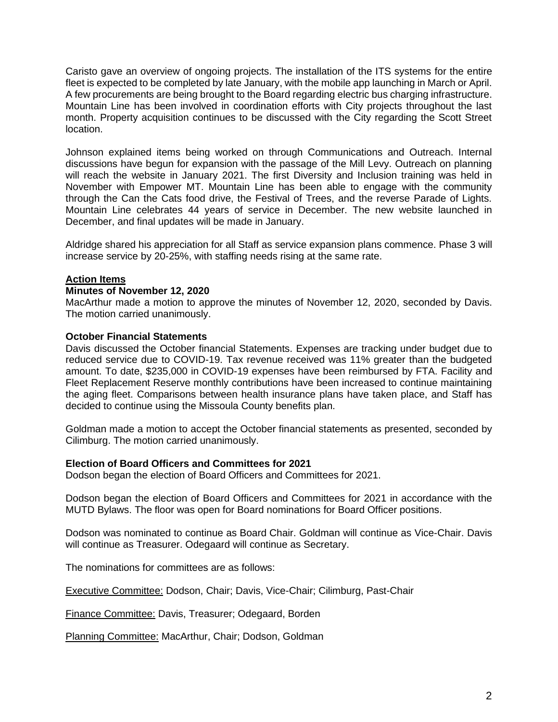Caristo gave an overview of ongoing projects. The installation of the ITS systems for the entire fleet is expected to be completed by late January, with the mobile app launching in March or April. A few procurements are being brought to the Board regarding electric bus charging infrastructure. Mountain Line has been involved in coordination efforts with City projects throughout the last month. Property acquisition continues to be discussed with the City regarding the Scott Street location.

Johnson explained items being worked on through Communications and Outreach. Internal discussions have begun for expansion with the passage of the Mill Levy. Outreach on planning will reach the website in January 2021. The first Diversity and Inclusion training was held in November with Empower MT. Mountain Line has been able to engage with the community through the Can the Cats food drive, the Festival of Trees, and the reverse Parade of Lights. Mountain Line celebrates 44 years of service in December. The new website launched in December, and final updates will be made in January.

Aldridge shared his appreciation for all Staff as service expansion plans commence. Phase 3 will increase service by 20-25%, with staffing needs rising at the same rate.

## **Action Items**

#### **Minutes of November 12, 2020**

MacArthur made a motion to approve the minutes of November 12, 2020, seconded by Davis. The motion carried unanimously.

## **October Financial Statements**

Davis discussed the October financial Statements. Expenses are tracking under budget due to reduced service due to COVID-19. Tax revenue received was 11% greater than the budgeted amount. To date, \$235,000 in COVID-19 expenses have been reimbursed by FTA. Facility and Fleet Replacement Reserve monthly contributions have been increased to continue maintaining the aging fleet. Comparisons between health insurance plans have taken place, and Staff has decided to continue using the Missoula County benefits plan.

Goldman made a motion to accept the October financial statements as presented, seconded by Cilimburg. The motion carried unanimously.

#### **Election of Board Officers and Committees for 2021**

Dodson began the election of Board Officers and Committees for 2021.

Dodson began the election of Board Officers and Committees for 2021 in accordance with the MUTD Bylaws. The floor was open for Board nominations for Board Officer positions.

Dodson was nominated to continue as Board Chair. Goldman will continue as Vice-Chair. Davis will continue as Treasurer. Odegaard will continue as Secretary.

The nominations for committees are as follows:

Executive Committee: Dodson, Chair; Davis, Vice-Chair; Cilimburg, Past-Chair

Finance Committee: Davis, Treasurer; Odegaard, Borden

Planning Committee: MacArthur, Chair; Dodson, Goldman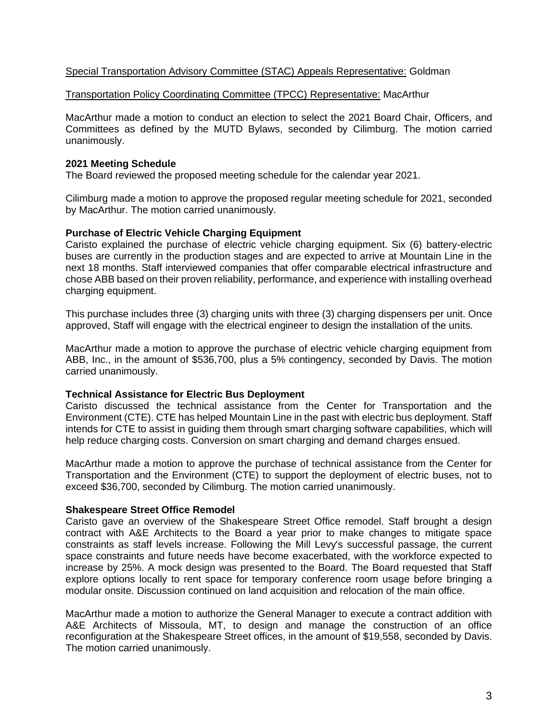## Special Transportation Advisory Committee (STAC) Appeals Representative: Goldman

#### Transportation Policy Coordinating Committee (TPCC) Representative: MacArthur

MacArthur made a motion to conduct an election to select the 2021 Board Chair, Officers, and Committees as defined by the MUTD Bylaws, seconded by Cilimburg. The motion carried unanimously.

#### **2021 Meeting Schedule**

The Board reviewed the proposed meeting schedule for the calendar year 2021.

Cilimburg made a motion to approve the proposed regular meeting schedule for 2021, seconded by MacArthur. The motion carried unanimously.

#### **Purchase of Electric Vehicle Charging Equipment**

Caristo explained the purchase of electric vehicle charging equipment. Six (6) battery-electric buses are currently in the production stages and are expected to arrive at Mountain Line in the next 18 months. Staff interviewed companies that offer comparable electrical infrastructure and chose ABB based on their proven reliability, performance, and experience with installing overhead charging equipment.

This purchase includes three (3) charging units with three (3) charging dispensers per unit. Once approved, Staff will engage with the electrical engineer to design the installation of the units.

MacArthur made a motion to approve the purchase of electric vehicle charging equipment from ABB, Inc., in the amount of \$536,700, plus a 5% contingency, seconded by Davis. The motion carried unanimously.

#### **Technical Assistance for Electric Bus Deployment**

Caristo discussed the technical assistance from the Center for Transportation and the Environment (CTE). CTE has helped Mountain Line in the past with electric bus deployment. Staff intends for CTE to assist in guiding them through smart charging software capabilities, which will help reduce charging costs. Conversion on smart charging and demand charges ensued.

MacArthur made a motion to approve the purchase of technical assistance from the Center for Transportation and the Environment (CTE) to support the deployment of electric buses, not to exceed \$36,700, seconded by Cilimburg. The motion carried unanimously.

#### **Shakespeare Street Office Remodel**

Caristo gave an overview of the Shakespeare Street Office remodel. Staff brought a design contract with A&E Architects to the Board a year prior to make changes to mitigate space constraints as staff levels increase. Following the Mill Levy's successful passage, the current space constraints and future needs have become exacerbated, with the workforce expected to increase by 25%. A mock design was presented to the Board. The Board requested that Staff explore options locally to rent space for temporary conference room usage before bringing a modular onsite. Discussion continued on land acquisition and relocation of the main office.

MacArthur made a motion to authorize the General Manager to execute a contract addition with A&E Architects of Missoula, MT, to design and manage the construction of an office reconfiguration at the Shakespeare Street offices, in the amount of \$19,558, seconded by Davis. The motion carried unanimously.